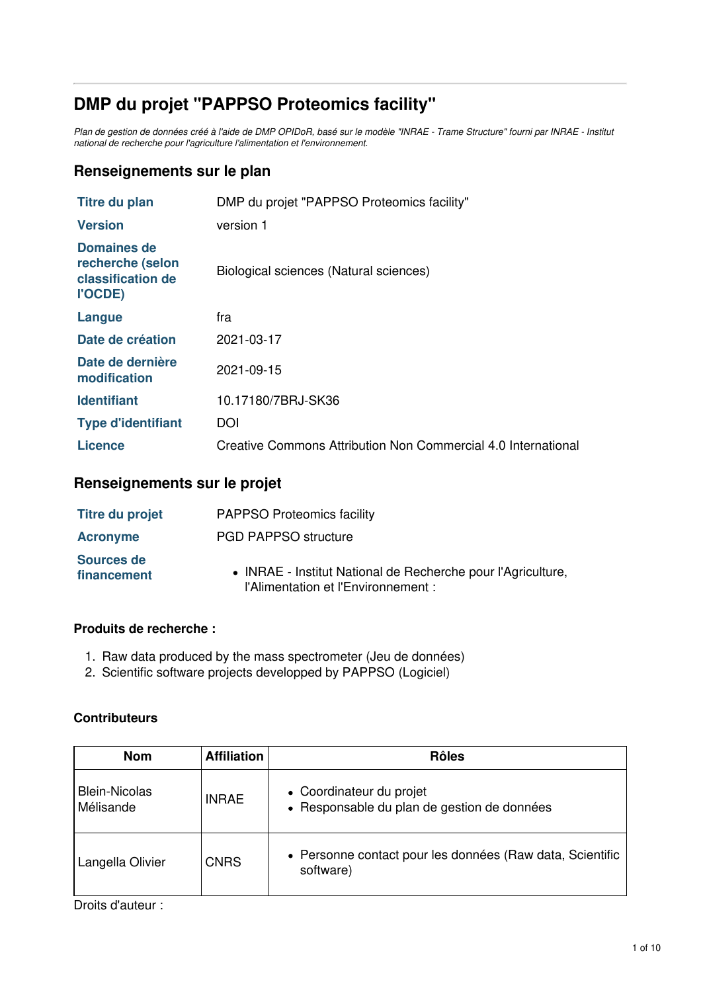# **DMP du projet "PAPPSO Proteomics facility"**

Plan de gestion de données créé à l'aide de DMP OPIDoR, basé sur le modèle "INRAE - Trame Structure" fourni par INRAE - Institut *national de recherche pour l'agriculture l'alimentation et l'environnement.*

### **Renseignements sur le plan**

| Titre du plan                                                   | DMP du projet "PAPPSO Proteomics facility"                    |
|-----------------------------------------------------------------|---------------------------------------------------------------|
| <b>Version</b>                                                  | version 1                                                     |
| Domaines de<br>recherche (selon<br>classification de<br>l'OCDE) | Biological sciences (Natural sciences)                        |
| Langue                                                          | fra                                                           |
| Date de création                                                | 2021-03-17                                                    |
| Date de dernière<br>modification                                | 2021-09-15                                                    |
| <b>Identifiant</b>                                              | 10.17180/7BRJ-SK36                                            |
| <b>Type d'identifiant</b>                                       | DOI                                                           |
| Licence                                                         | Creative Commons Attribution Non Commercial 4.0 International |

### **Renseignements sur le projet**

| <b>Titre du projet</b>    | <b>PAPPSO Proteomics facility</b>                                                                   |
|---------------------------|-----------------------------------------------------------------------------------------------------|
| <b>Acronyme</b>           | <b>PGD PAPPSO structure</b>                                                                         |
| Sources de<br>financement | • INRAE - Institut National de Recherche pour l'Agriculture,<br>l'Alimentation et l'Environnement : |

### **Produits de recherche :**

- 1. Raw data produced by the mass spectrometer (Jeu de données)
- 2. Scientific software projects developped by PAPPSO (Logiciel)

### **Contributeurs**

| <b>Nom</b>                        | <b>Affiliation</b> | <b>Rôles</b>                                                            |
|-----------------------------------|--------------------|-------------------------------------------------------------------------|
| <b>Blein-Nicolas</b><br>Mélisande | <b>INRAE</b>       | • Coordinateur du projet<br>• Responsable du plan de gestion de données |
| Langella Olivier                  | <b>CNRS</b>        | • Personne contact pour les données (Raw data, Scientific<br>software)  |

Droits d'auteur :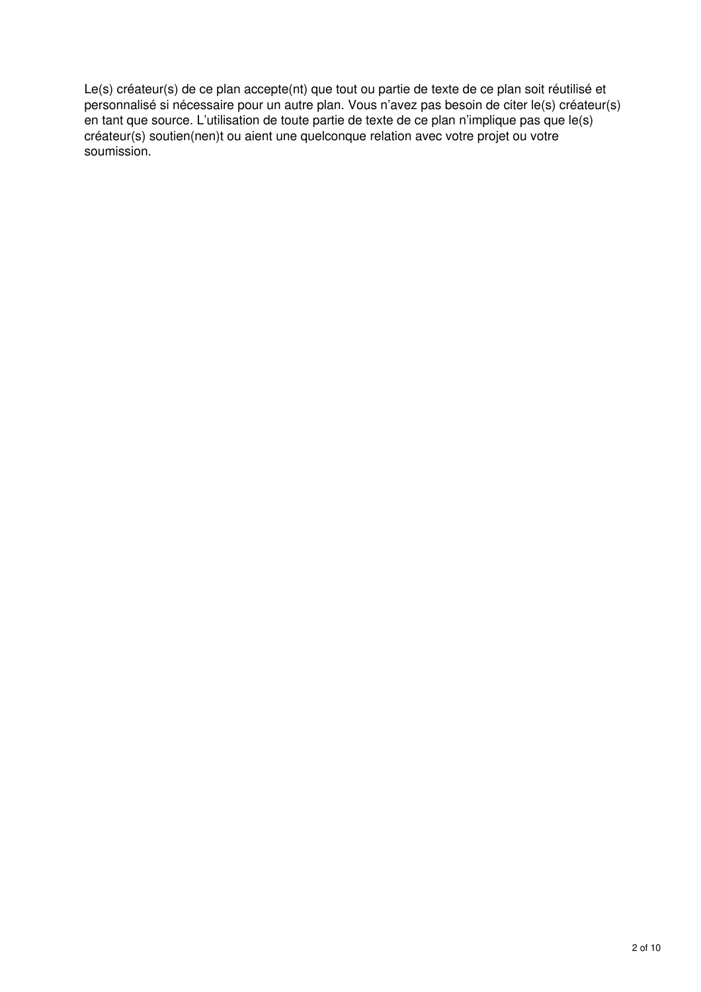Le(s) créateur(s) de ce plan accepte(nt) que tout ou partie de texte de ce plan soit réutilisé et personnalisé si nécessaire pour un autre plan. Vous n'avez pas besoin de citer le(s) créateur(s) en tant que source. L'utilisation de toute partie de texte de ce plan n'implique pas que le(s) créateur(s) soutien(nen)t ou aient une quelconque relation avec votre projet ou votre soumission.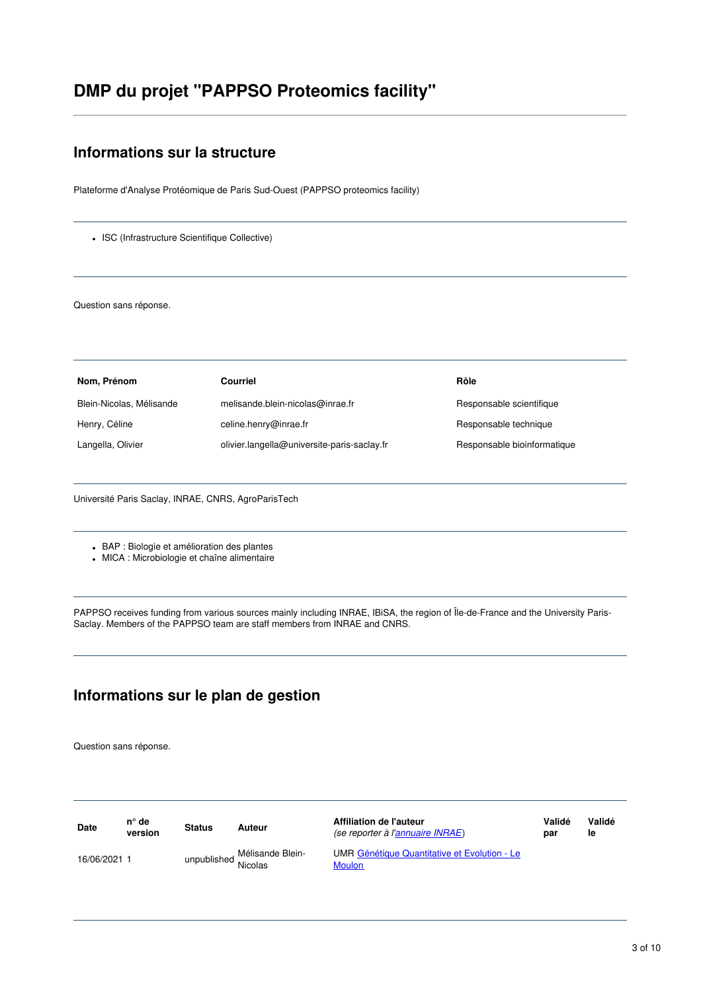# **DMP du projet "PAPPSO Proteomics facility"**

# **Informations sur la structure**

Plateforme d'Analyse Protéomique de Paris Sud-Ouest (PAPPSO proteomics facility)

• ISC (Infrastructure Scientifique Collective)

Question sans réponse.

| Nom, Prénom              | Courriel                                    | Rôle                        |
|--------------------------|---------------------------------------------|-----------------------------|
| Blein-Nicolas, Mélisande | melisande.blein-nicolas@inrae.fr            | Responsable scientifique    |
| Henry, Céline            | celine.henry@inrae.fr                       | Responsable technique       |
| Langella, Olivier        | olivier.langella@universite-paris-saclay.fr | Responsable bioinformatique |

Université Paris Saclay, INRAE, CNRS, AgroParisTech

BAP : Biologie et amélioration des plantes

MICA : Microbiologie et chaîne alimentaire

PAPPSO receives funding from various sources mainly including INRAE, IBiSA, the region of Île-de-France and the University Paris-Saclay. Members of the PAPPSO team are staff members from INRAE and CNRS.

# **Informations sur le plan de gestion**

Question sans réponse.

| <b>Date</b>  | n° de<br>version | <b>Status</b> | Auteur                             | Affiliation de l'auteur<br>(se reporter à l'annuaire INRAE)   | Validé<br>par | Validé<br>le |
|--------------|------------------|---------------|------------------------------------|---------------------------------------------------------------|---------------|--------------|
| 16/06/2021 1 |                  | unpublished:  | Mélisande Blein-<br><b>Nicolas</b> | UMR Génétique Quantitative et Evolution - Le<br><b>Moulon</b> |               |              |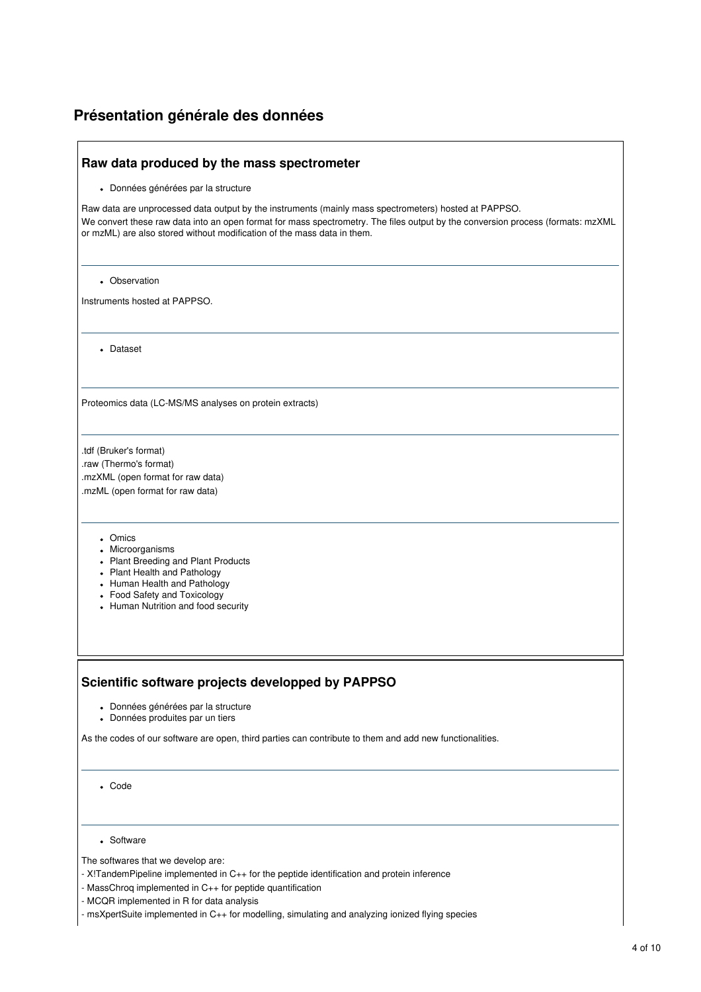### **Présentation générale des données**

#### **Raw data produced by the mass spectrometer**

Données générées par la structure

Raw data are unprocessed data output by the instruments (mainly mass spectrometers) hosted at PAPPSO. We convert these raw data into an open format for mass spectrometry. The files output by the conversion process (formats: mzXML or mzML) are also stored without modification of the mass data in them.

Observation

Instruments hosted at PAPPSO.

Dataset

Proteomics data (LC-MS/MS analyses on protein extracts)

.tdf (Bruker's format) .raw (Thermo's format) .mzXML (open format for raw data) .mzML (open format for raw data)

- Omics
- Microorganisms
- Plant Breeding and Plant Products
- Plant Health and Pathology
- Human Health and Pathology
- Food Safety and Toxicology
- Human Nutrition and food security

#### **Scientific software projects developped by PAPPSO**

- Données générées par la structure
- Données produites par un tiers

As the codes of our software are open, third parties can contribute to them and add new functionalities.

Code

Software

The softwares that we develop are:

- X!TandemPipeline implemented in C++ for the peptide identification and protein inference
- MassChroq implemented in C++ for peptide quantification
- MCQR implemented in R for data analysis

- msXpertSuite implemented in C++ for modelling, simulating and analyzing ionized flying species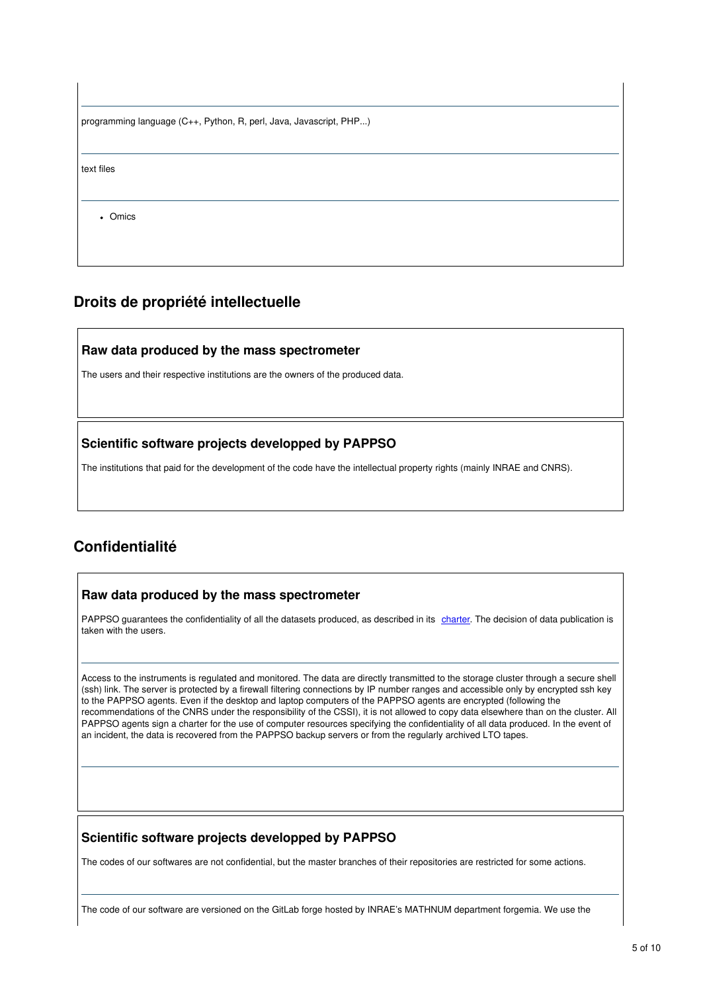| programming language (C++, Python, R, perl, Java, Javascript, PHP) |  |
|--------------------------------------------------------------------|--|
|                                                                    |  |
| text files                                                         |  |
|                                                                    |  |
| • Omics                                                            |  |
|                                                                    |  |
|                                                                    |  |

# **Droits de propriété intellectuelle**

### **Raw data produced by the mass spectrometer**

The users and their respective institutions are the owners of the produced data.

### **Scientific software projects developped by PAPPSO**

The institutions that paid for the development of the code have the intellectual property rights (mainly INRAE and CNRS).

# **Confidentialité**

#### **Raw data produced by the mass spectrometer**

PAPPSO guarantees the confidentiality of all the datasets produced, as described in its [charter](http://pappso.inrae.fr/en/charte/). The decision of data publication is taken with the users.

Access to the instruments is regulated and monitored. The data are directly transmitted to the storage cluster through a secure shell (ssh) link. The server is protected by a firewall filtering connections by IP number ranges and accessible only by encrypted ssh key to the PAPPSO agents. Even if the desktop and laptop computers of the PAPPSO agents are encrypted (following the recommendations of the CNRS under the responsibility of the CSSI), it is not allowed to copy data elsewhere than on the cluster. All PAPPSO agents sign a charter for the use of computer resources specifying the confidentiality of all data produced. In the event of an incident, the data is recovered from the PAPPSO backup servers or from the regularly archived LTO tapes.

### **Scientific software projects developped by PAPPSO**

The codes of our softwares are not confidential, but the master branches of their repositories are restricted for some actions.

The code of our software are versioned on the GitLab forge hosted by INRAE's MATHNUM department forgemia. We use the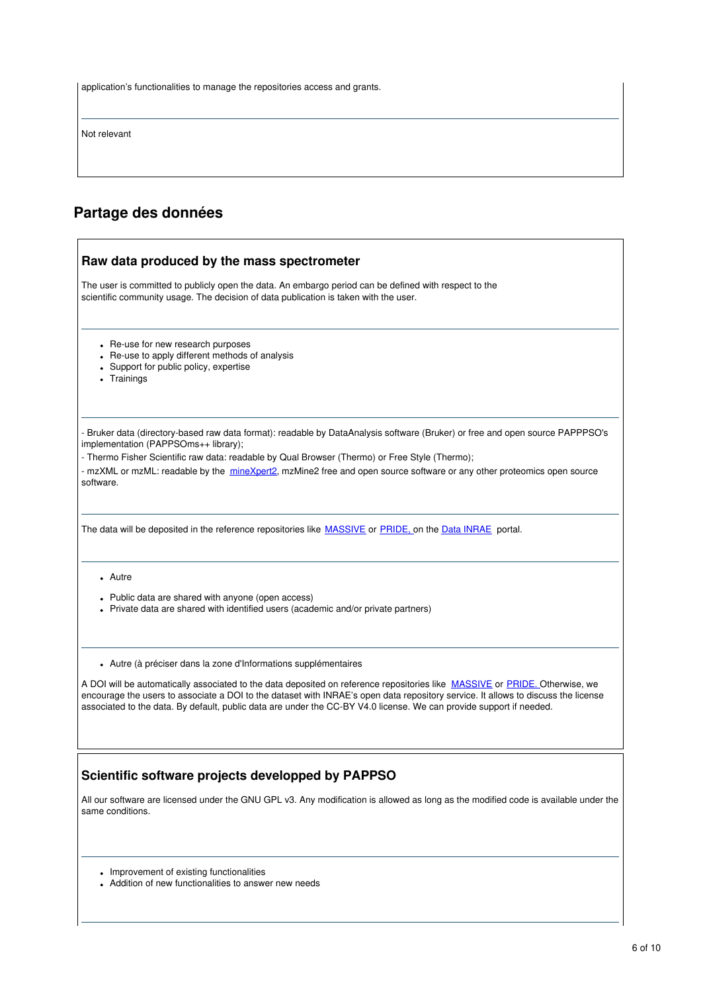application's functionalities to manage the repositories access and grants.

Not relevant

# **Partage des données**

| Raw data produced by the mass spectrometer                                                                                                                                                                                                                                                                                                                                                                     |
|----------------------------------------------------------------------------------------------------------------------------------------------------------------------------------------------------------------------------------------------------------------------------------------------------------------------------------------------------------------------------------------------------------------|
| The user is committed to publicly open the data. An embargo period can be defined with respect to the<br>scientific community usage. The decision of data publication is taken with the user.                                                                                                                                                                                                                  |
| • Re-use for new research purposes<br>• Re-use to apply different methods of analysis<br>Support for public policy, expertise<br>Trainings                                                                                                                                                                                                                                                                     |
| - Bruker data (directory-based raw data format): readable by DataAnalysis software (Bruker) or free and open source PAPPPSO's<br>implementation (PAPPSOms++ library);<br>- Thermo Fisher Scientific raw data: readable by Qual Browser (Thermo) or Free Style (Thermo);<br>- mzXML or mzML: readable by the mineXpert2, mzMine2 free and open source software or any other proteomics open source<br>software. |
| The data will be deposited in the reference repositories like <b>MASSIVE</b> or PRIDE, on the Data INRAE portal.                                                                                                                                                                                                                                                                                               |
| • Autre<br>Public data are shared with anyone (open access)<br>• Private data are shared with identified users (academic and/or private partners)                                                                                                                                                                                                                                                              |
| • Autre (à préciser dans la zone d'Informations supplémentaires                                                                                                                                                                                                                                                                                                                                                |
| A DOI will be automatically associated to the data deposited on reference repositories like MASSIVE or PRIDE. Otherwise, we<br>encourage the users to associate a DOI to the dataset with INRAE's open data repository service. It allows to discuss the license<br>associated to the data. By default, public data are under the CC-BY V4.0 license. We can provide support if needed.                        |
| Scientific software projects developped by PAPPSO                                                                                                                                                                                                                                                                                                                                                              |
| All our software are licensed under the GNU GPL v3. Any modification is allowed as long as the modified code is available under the<br>same conditions.                                                                                                                                                                                                                                                        |
| af ovieting functionalitio                                                                                                                                                                                                                                                                                                                                                                                     |

- Improvement of existing functionalities
- Addition of new functionalities to answer new needs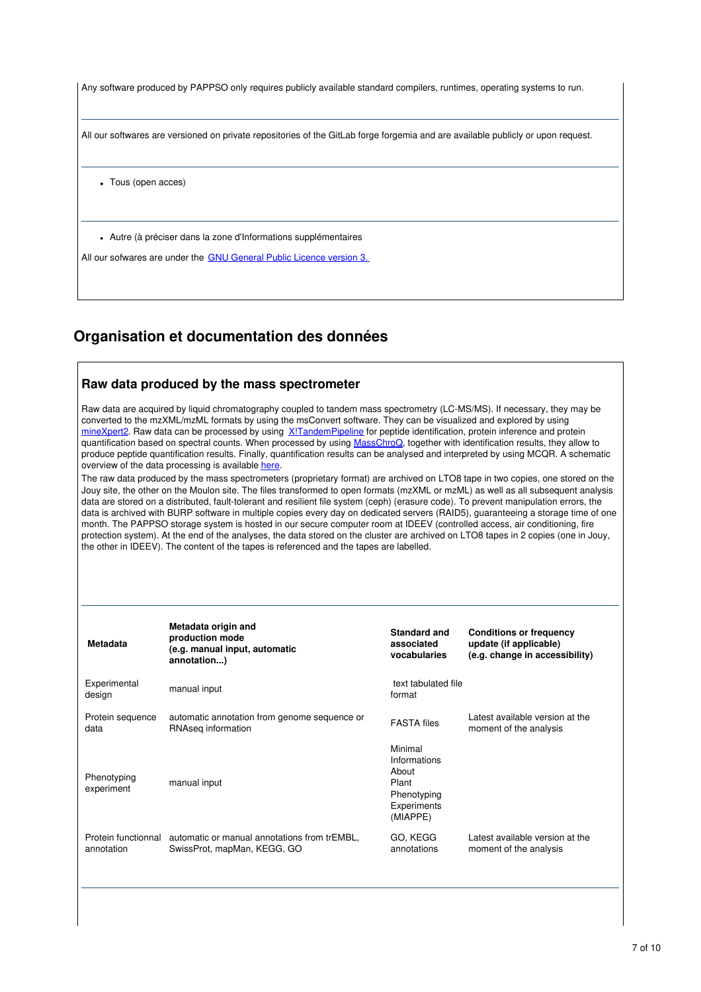| Any software produced by PAPPSO only requires publicly available standard compilers, runtimes, operating systems to run.         |
|----------------------------------------------------------------------------------------------------------------------------------|
| All our softwares are versioned on private repositories of the GitLab forge forgemia and are available publicly or upon request. |
| Tous (open acces)<br>$\bullet$                                                                                                   |
| • Autre (à préciser dans la zone d'Informations supplémentaires                                                                  |
| All our sofwares are under the GNU General Public Licence version 3.                                                             |

# **Organisation et documentation des données**

#### **Raw data produced by the mass spectrometer**

Raw data are acquired by liquid chromatography coupled to tandem mass spectrometry (LC-MS/MS). If necessary, they may be converted to the mzXML/mzML formats by using the msConvert software. They can be visualized and explored by using [mineXpert2](http://pappso.inrae.fr/bioinfo/minexpert2/). Raw data can be processed by using XITandemPipeline for peptide identification, protein inference and protein quantification based on spectral counts. When processed by using [MassChroQ](http://pappso.inrae.fr/bioinfo/masschroq/), together with identification results, they allow to produce peptide quantification results. Finally, quantification results can be analysed and interpreted by using MCQR. A schematic overview of the data processing is available [here](http://pappso.inrae.fr/bioinfo/).

The raw data produced by the mass spectrometers (proprietary format) are archived on LTO8 tape in two copies, one stored on the Jouy site, the other on the Moulon site. The files transformed to open formats (mzXML or mzML) as well as all subsequent analysis data are stored on a distributed, fault-tolerant and resilient file system (ceph) (erasure code). To prevent manipulation errors, the data is archived with BURP software in multiple copies every day on dedicated servers (RAID5), guaranteeing a storage time of one month. The PAPPSO storage system is hosted in our secure computer room at IDEEV (controlled access, air conditioning, fire protection system). At the end of the analyses, the data stored on the cluster are archived on LTO8 tapes in 2 copies (one in Jouy, the other in IDEEV). The content of the tapes is referenced and the tapes are labelled.

| annotation)                                                                 | vocabularies                                                                        | update (if applicable)<br>(e.g. change in accessibility)   |
|-----------------------------------------------------------------------------|-------------------------------------------------------------------------------------|------------------------------------------------------------|
| manual input                                                                | text tabulated file<br>format                                                       |                                                            |
| automatic annotation from genome sequence or<br>RNAseg information          | <b>FASTA</b> files                                                                  | I atest available version at the<br>moment of the analysis |
| manual input                                                                | Minimal<br>Informations<br>About<br>Plant<br>Phenotyping<br>Experiments<br>(MIAPPE) |                                                            |
| automatic or manual annotations from trEMBL,<br>SwissProt, mapMan, KEGG, GO | GO, KEGG<br>annotations                                                             | Latest available version at the<br>moment of the analysis  |
|                                                                             |                                                                                     | (e.g. manual input, automatic                              |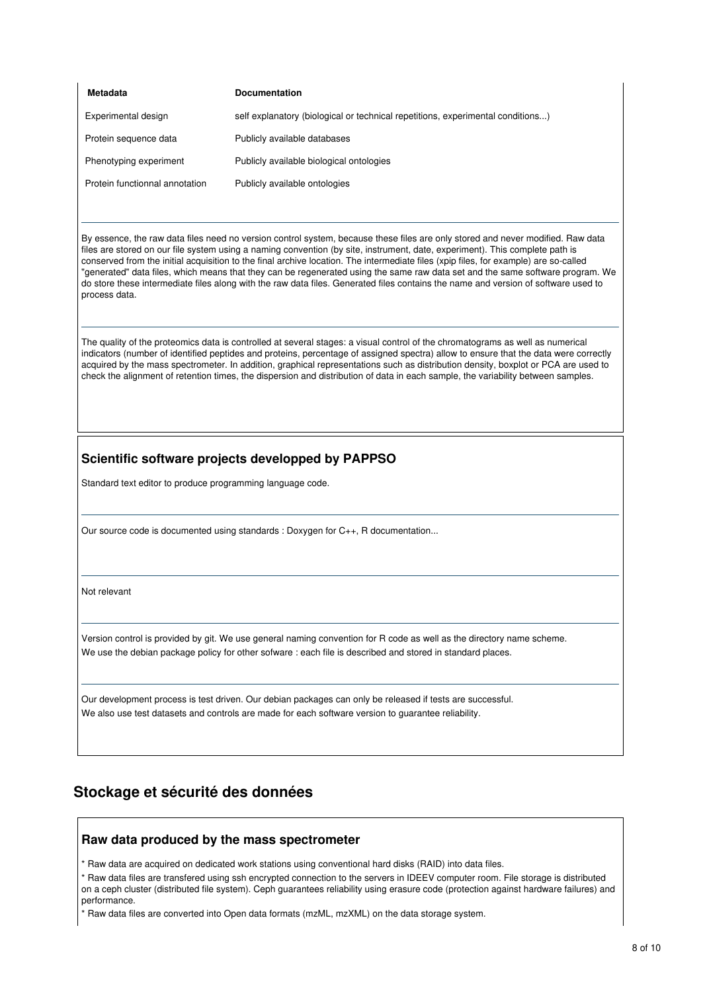| Metadata                       | <b>Documentation</b>                                                            |
|--------------------------------|---------------------------------------------------------------------------------|
| Experimental design            | self explanatory (biological or technical repetitions, experimental conditions) |
| Protein sequence data          | Publicly available databases                                                    |
| Phenotyping experiment         | Publicly available biological ontologies                                        |
| Protein functionnal annotation | Publicly available ontologies                                                   |

By essence, the raw data files need no version control system, because these files are only stored and never modified. Raw data files are stored on our file system using a naming convention (by site, instrument, date, experiment). This complete path is conserved from the initial acquisition to the final archive location. The intermediate files (xpip files, for example) are so-called "generated" data files, which means that they can be regenerated using the same raw data set and the same software program. We do store these intermediate files along with the raw data files. Generated files contains the name and version of software used to process data.

The quality of the proteomics data is controlled at several stages: a visual control of the chromatograms as well as numerical indicators (number of identified peptides and proteins, percentage of assigned spectra) allow to ensure that the data were correctly acquired by the mass spectrometer. In addition, graphical representations such as distribution density, boxplot or PCA are used to check the alignment of retention times, the dispersion and distribution of data in each sample, the variability between samples.

### **Scientific software projects developped by PAPPSO**

Standard text editor to produce programming language code.

Our source code is documented using standards : Doxygen for C++, R documentation...

Not relevant

Version control is provided by git. We use general naming convention for R code as well as the directory name scheme. We use the debian package policy for other sofware : each file is described and stored in standard places.

Our development process is test driven. Our debian packages can only be released if tests are successful. We also use test datasets and controls are made for each software version to guarantee reliability.

### **Stockage et sécurité des données**

#### **Raw data produced by the mass spectrometer**

\* Raw data are acquired on dedicated work stations using conventional hard disks (RAID) into data files.

\* Raw data files are transfered using ssh encrypted connection to the servers in IDEEV computer room. File storage is distributed on a ceph cluster (distributed file system). Ceph guarantees reliability using erasure code (protection against hardware failures) and performance.

\* Raw data files are converted into Open data formats (mzML, mzXML) on the data storage system.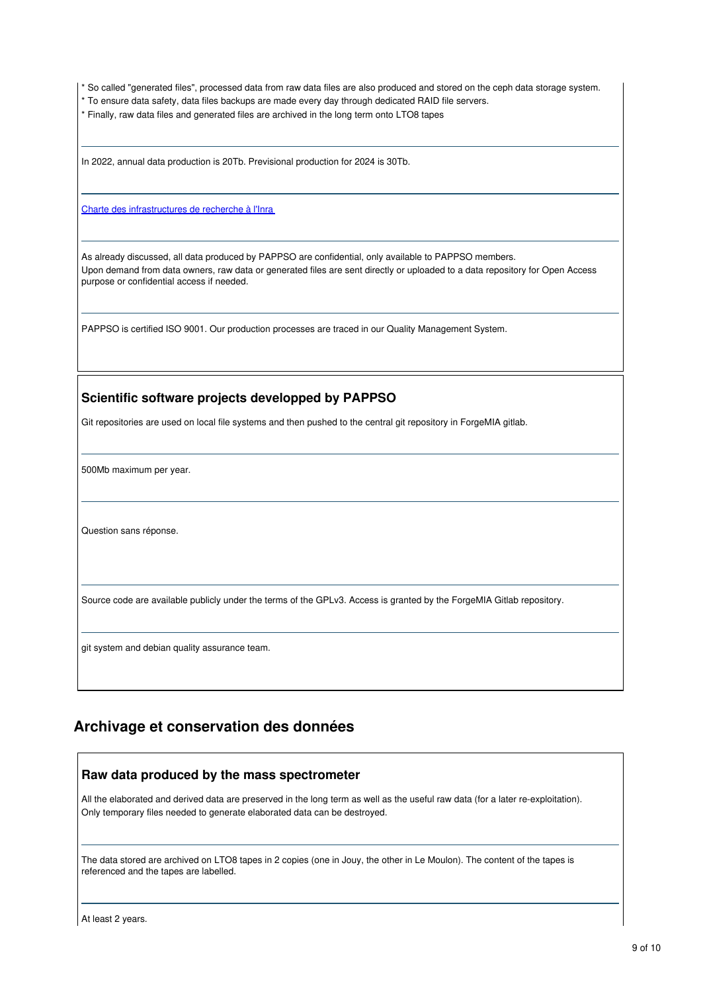\* So called "generated files", processed data from raw data files are also produced and stored on the ceph data storage system.

- \* To ensure data safety, data files backups are made every day through dedicated RAID file servers.
- \* Finally, raw data files and generated files are archived in the long term onto LTO8 tapes

In 2022, annual data production is 20Tb. Previsional production for 2024 is 30Tb.

Charte des [infrastructures](https://www.inrae.fr/sites/default/files/charte_ir.pdf) de recherche à l'Inra

As already discussed, all data produced by PAPPSO are confidential, only available to PAPPSO members. Upon demand from data owners, raw data or generated files are sent directly or uploaded to a data repository for Open Access purpose or confidential access if needed.

PAPPSO is certified ISO 9001. Our production processes are traced in our Quality Management System.

#### **Scientific software projects developped by PAPPSO**

Git repositories are used on local file systems and then pushed to the central git repository in ForgeMIA gitlab.

500Mb maximum per year.

Question sans réponse.

Source code are available publicly under the terms of the GPLv3. Access is granted by the ForgeMIA Gitlab repository.

git system and debian quality assurance team.

### **Archivage et conservation des données**

### **Raw data produced by the mass spectrometer**

All the elaborated and derived data are preserved in the long term as well as the useful raw data (for a later re-exploitation). Only temporary files needed to generate elaborated data can be destroyed.

The data stored are archived on LTO8 tapes in 2 copies (one in Jouy, the other in Le Moulon). The content of the tapes is referenced and the tapes are labelled.

At least 2 years.